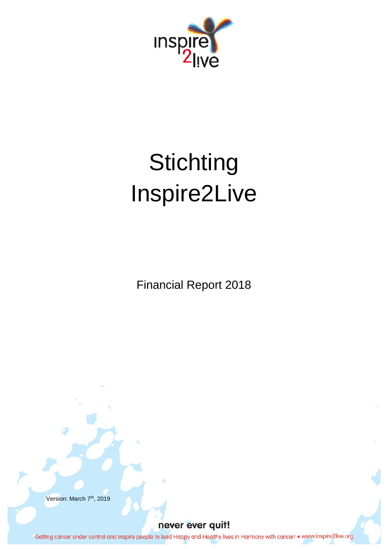

# **Stichting** Inspire2Live

Financial Report 2018

Version: March 7<sup>th</sup>, 2019

# never ever quit!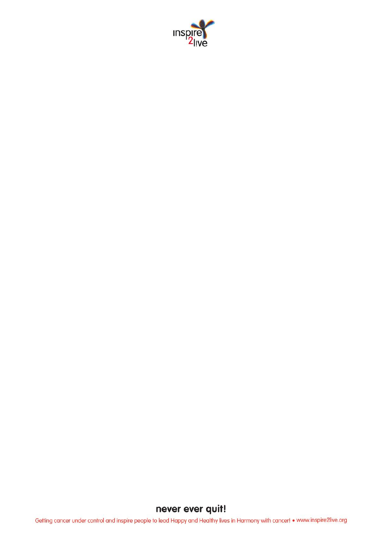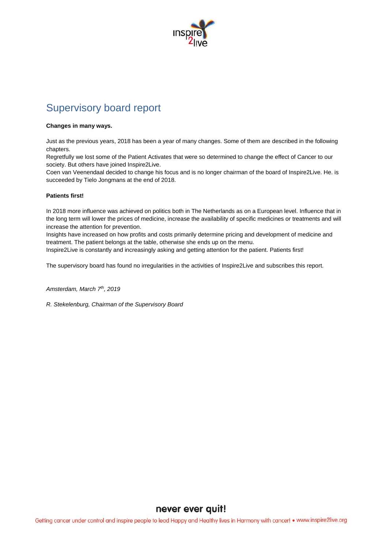

# Supervisory board report

#### **Changes in many ways.**

Just as the previous years, 2018 has been a year of many changes. Some of them are described in the following chapters.

Regretfully we lost some of the Patient Activates that were so determined to change the effect of Cancer to our society. But others have joined Inspire2Live.

Coen van Veenendaal decided to change his focus and is no longer chairman of the board of Inspire2Live. He. is succeeded by Tielo Jongmans at the end of 2018.

#### **Patients first!**

In 2018 more influence was achieved on politics both in The Netherlands as on a European level. Influence that in the long term will lower the prices of medicine, increase the availability of specific medicines or treatments and will increase the attention for prevention.

Insights have increased on how profits and costs primarily determine pricing and development of medicine and treatment. The patient belongs at the table, otherwise she ends up on the menu.

Inspire2Live is constantly and increasingly asking and getting attention for the patient. Patients first!

The supervisory board has found no irregularities in the activities of Inspire2Live and subscribes this report.

*Amsterdam, March 7th , 2019*

*R. Stekelenburg, Chairman of the Supervisory Board*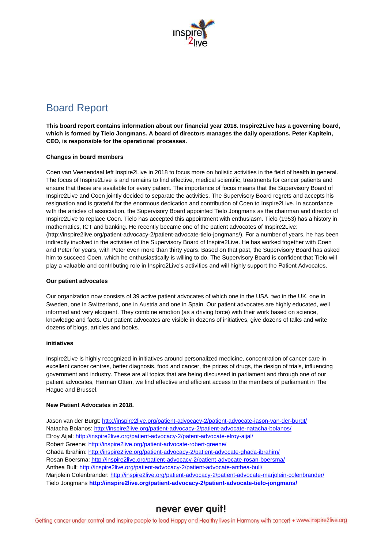

# Board Report

**This board report contains information about our financial year 2018. Inspire2Live has a governing board, which is formed by Tielo Jongmans. A board of directors manages the daily operations. Peter Kapitein, CEO, is responsible for the operational processes.**

#### **Changes in board members**

Coen van Veenendaal left Inspire2Live in 2018 to focus more on holistic activities in the field of health in general. The focus of Inspire2Live is and remains to find effective, medical scientific, treatments for cancer patients and ensure that these are available for every patient. The importance of focus means that the Supervisory Board of Inspire2Live and Coen jointly decided to separate the activities. The Supervisory Board regrets and accepts his resignation and is grateful for the enormous dedication and contribution of Coen to Inspire2Live. In accordance with the articles of association, the Supervisory Board appointed Tielo Jongmans as the chairman and director of Inspire2Live to replace Coen. Tielo has accepted this appointment with enthusiasm. Tielo (1953) has a history in mathematics, ICT and banking. He recently became one of the patient advocates of Inspire2Live: (http://inspire2live.org/patient-advocacy-2/patient-advocate-tielo-jongmans/). For a number of years, he has been indirectly involved in the activities of the Supervisory Board of Inspire2Live. He has worked together with Coen and Peter for years, with Peter even more than thirty years. Based on that past, the Supervisory Board has asked him to succeed Coen, which he enthusiastically is willing to do. The Supervisory Board is confident that Tielo will play a valuable and contributing role in Inspire2Live's activities and will highly support the Patient Advocates.

#### **Our patient advocates**

Our organization now consists of 39 active patient advocates of which one in the USA, two in the UK, one in Sweden, one in Switzerland, one in Austria and one in Spain. Our patient advocates are highly educated, well informed and very eloquent. They combine emotion (as a driving force) with their work based on science, knowledge and facts. Our patient advocates are visible in dozens of initiatives, give dozens of talks and write dozens of blogs, articles and books.

#### **initiatives**

Inspire2Live is highly recognized in initiatives around personalized medicine, concentration of cancer care in excellent cancer centres, better diagnosis, food and cancer, the prices of drugs, the design of trials, influencing government and industry. These are all topics that are being discussed in parliament and through one of our patient advocates, Herman Otten, we find effective and efficient access to the members of parliament in The Hague and Brussel.

#### **New Patient Advocates in 2018.**

Jason van der Burgt[: http://inspire2live.org/patient-advocacy-2/patient-advocate-jason-van-der-burgt/](http://inspire2live.org/patient-advocacy-2/patient-advocate-jason-van-der-burgt/) Natacha Bolanos[: http://inspire2live.org/patient-advocacy-2/patient-advocate-natacha-bolanos/](http://inspire2live.org/patient-advocacy-2/patient-advocate-natacha-bolanos/) Elroy Aijal:<http://inspire2live.org/patient-advocacy-2/patent-advocate-elroy-aijal/> Robert Greene[: http://inspire2live.org/patient-advocate-robert-greene/](http://inspire2live.org/patient-advocate-robert-greene/) Ghada Ibrahim:<http://inspire2live.org/patient-advocacy-2/patient-advocate-ghada-ibrahim/> Rosan Boersma[: http://inspire2live.org/patient-advocacy-2/patient-advocate-rosan-boersma/](http://inspire2live.org/patient-advocacy-2/patient-advocate-rosan-boersma/) Anthea Bull:<http://inspire2live.org/patient-advocacy-2/patient-advocate-anthea-bull/> Marjolein Colenbrander:<http://inspire2live.org/patient-advocacy-2/patient-advocate-marjolein-colenbrander/> Tielo Jongmans **<http://inspire2live.org/patient-advocacy-2/patient-advocate-tielo-jongmans/>**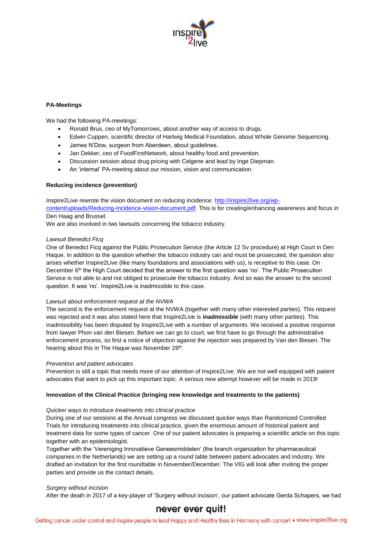

#### **PA-Meetings**

We had the following PA-meetings:

- Ronald Brus, ceo of MyTomorrows, about another way of access to drugs.
- Edwin Cuppen, scientific director of Hartwig Medical Foundation, about Whole Genome Sequencing.
- James N'Dow, surgeon from Aberdeen, about guidelines.
- Jan Dekker, ceo of FoodFirstNetwork, about healthy food and prevention.
- Discussion session about drug pricing with Celgene and lead by Inge Diepman.
- An 'internal' PA-meeting about our mission, vision and communication.

#### **Reducing incidence (prevention)**

Inspire2Live rewrote the vision document on reducing incidence: [http://inspire2live.org/wp](http://inspire2live.org/wp-content/uploads/Reducing-Incidence-vision-document.pdf)[content/uploads/Reducing-Incidence-vision-document.pdf.](http://inspire2live.org/wp-content/uploads/Reducing-Incidence-vision-document.pdf) This is for creating/enhancing awareness and focus in Den Haag and Brussel.

We are also involved in two lawsuits concerning the tobacco industry.

#### *Lawsuit Benedict Ficq*

One of Benedict Ficq against the Public Prosecution Service (the Article 12 Sv procedure) at High Court in Den Haque. In addition to the question whether the tobacco industry can and must be prosecuted, the question also arises whether Inspire2Live (like many foundations and associations with us), is receptive to this case. On December 6th the High Court decided that the answer to the first question was 'no'. The Public Prosecution Service is not able to and not obliged to prosecute the tobacco industry. And so was the answer to the second question. It was 'no'. Inspire2Live is inadmissible to this case.

#### *Lawsuit about enforcement request at the NVWA*

The second is the enforcement request at the NVWA (together with many other interested parties). This request was rejected and it was also stated here that Inspire2Live is **inadmissible** (with many other parties). This inadmissibility has been disputed by Inspire2Live with a number of arguments. We received a positive response from lawyer Phon van den Biesen. Before we can go to court, we first have to go through the administrative enforcement process, so first a notice of objection against the rejection was prepared by Van den Biesen. The hearing about this in The Haque was November 29<sup>th</sup>.

#### *Prevention and patient advocates*

Prevention is still a topic that needs more of our attention of Inspire2Live. We are not well equipped with patient advocates that want to pick up this important topic. A serious new attempt however will be made in 2019!

#### **Innovation of the Clinical Practice (bringing new knowledge and treatments to the patients)**

#### *Quicker ways to introduce treatments into clinical practice*

During one of our sessions at the Annual congress we discussed quicker ways than Randomized Controlled Trials for introducing treatments into clinical practice, given the enormous amount of historical patient and treatment data for some types of cancer. One of our patient advocates is preparing a scientific article on this topic together with an epidemiologist.

Together with the 'Vereniging Innovatieve Geneesmiddelen' (the branch organization for pharmaceutical companies in the Netherlands) we are setting up a round table between patient advocates and industry. We drafted an invitation for the first roundtable in November/December. The VIG will look after inviting the proper parties and provide us the contact details.

#### *Surgery without incision*

After the death in 2017 of a key-player of 'Surgery without incision', our patient advocate Gerda Schapers, we had

## never ever quit!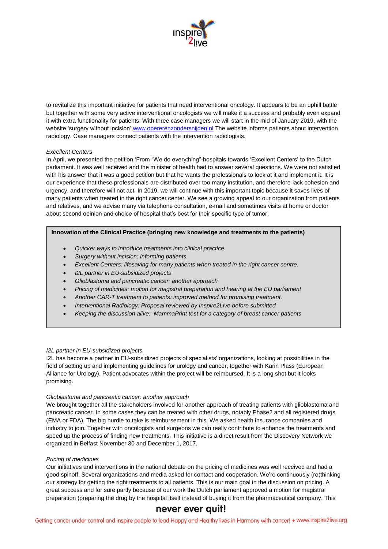

to revitalize this important initiative for patients that need interventional oncology. It appears to be an uphill battle but together with some very active interventional oncologists we will make it a success and probably even expand it with extra functionality for patients. With three case managers we will start in the mid of January 2019, with the website 'surgery without incision' [www.opererenzondersnijden.nl](http://www.opererenzondersnijden.nl/) The website informs patients about intervention radiology. Case managers connect patients with the intervention radiologists.

#### *Excellent Centers*

In April, we presented the petition 'From "We do everything"-hospitals towards 'Excellent Centers' to the Dutch parliament. It was well received and the minister of health had to answer several questions. We were not satisfied with his answer that it was a good petition but that he wants the professionals to look at it and implement it. It is our experience that these professionals are distributed over too many institution, and therefore lack cohesion and urgency, and therefore will not act. In 2019, we will continue with this important topic because it saves lives of many patients when treated in the right cancer center. We see a growing appeal to our organization from patients and relatives, and we advise many via telephone consultation, e-mail and sometimes visits at home or doctor about second opinion and choice of hospital that's best for their specific type of tumor.

#### **Innovation of the Clinical Practice (bringing new knowledge and treatments to the patients)**

- *Quicker ways to introduce treatments into clinical practice*
- *Surgery without incision: informing patients*
- *Excellent Centers: lifesaving for many patients when treated in the right cancer centre.*
- *I2L partner in EU-subsidized projects*
- *Glioblastoma and pancreatic cancer: another approach*
- *Pricing of medicines: motion for magistral preparation and hearing at the EU parliament*
- *Another CAR-T treatment to patients: improved method for promising treatment.*
- *Interventional Radiology: Proposal reviewed by Inspire2Live before submitted*
- *Keeping the discussion alive: MammaPrint test for a category of breast cancer patients*

#### *I2L partner in EU-subsidized projects*

I2L has become a partner in EU-subsidized projects of specialists' organizations, looking at possibilities in the field of setting up and implementing guidelines for urology and cancer, together with Karin Plass (European Alliance for Urology). Patient advocates within the project will be reimbursed. It is a long shot but it looks promising.

#### *Glioblastoma and pancreatic cancer: another approach*

We brought together all the stakeholders involved for another approach of treating patients with glioblastoma and pancreatic cancer. In some cases they can be treated with other drugs, notably Phase2 and all registered drugs (EMA or FDA). The big hurdle to take is reimbursement in this. We asked health insurance companies and industry to join. Together with oncologists and surgeons we can really contribute to enhance the treatments and speed up the process of finding new treatments. This initiative is a direct result from the Discovery Network we organized in Belfast November 30 and December 1, 2017.

#### *Pricing of medicines*

Our initiatives and interventions in the national debate on the pricing of medicines was well received and had a good spinoff. Several organizations and media asked for contact and cooperation. We're continuously (re)thinking our strategy for getting the right treatments to all patients. This is our main goal in the discussion on pricing. A great success and for sure partly because of our work the Dutch parliament approved a motion for magistral preparation (preparing the drug by the hospital itself instead of buying it from the pharmaceutical company. This

## never ever quit!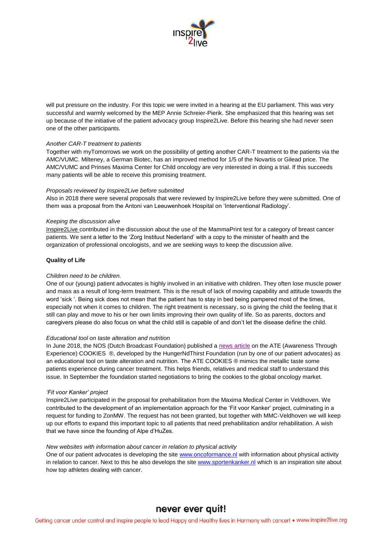

will put pressure on the industry. For this topic we were invited in a hearing at the EU parliament. This was very successful and warmly welcomed by the MEP Annie Schreier-Pierik. She emphasized that this hearing was set up because of the initiative of the patient advocacy group Inspire2Live. Before this hearing she had never seen one of the other participants.

#### *Another CAR-T treatment to patients*

Together with myTomorrows we work on the possibility of getting another CAR-T treatment to the patients via the AMC/VUMC. Milteney, a German Biotec, has an improved method for 1/5 of the Novartis or Gilead price. The AMC/VUMC and Prinses Maxima Center for Child oncology are very interested in doing a trial. If this succeeds many patients will be able to receive this promising treatment.

#### *Proposals reviewed by Inspire2Live before submitted*

Also in 2018 there were several proposals that were reviewed by Inspire2Live before they were submitted. One of them was a proposal from the Antoni van Leeuwenhoek Hospital on 'Interventional Radiology'.

#### *Keeping the discussion alive*

Inspire2Live contributed in the discussion about the use of the MammaPrint test for a category of breast cancer patients. We sent a letter to the 'Zorg Instituut Nederland' with a copy to the minister of health and the organization of professional oncologists, and we are seeking ways to keep the discussion alive.

#### **Quality of Life**

#### *Children need to be children.*

One of our (young) patient advocates is highly involved in an initiative with children. They often lose muscle power and mass as a result of long-term treatment. This is the result of lack of moving capability and attitude towards the word 'sick '. Being sick does not mean that the patient has to stay in bed being pampered most of the times, especially not when it comes to children. The right treatment is necessary, so is giving the child the feeling that it still can play and move to his or her own limits improving their own quality of life. So as parents, doctors and caregivers please do also focus on what the child still is capable of and don't let the disease define the child.

#### *Educational tool on taste alteration and nutrition*

In June 2018, the NOS (Dutch Broadcast Foundation) published a [news article](https://nos.nl/artikel/2236803-een-zandkoekje-maar-dan-zoals-het-smaakt-voor-een-kankerpatient.html) on the ATE (Awareness Through Experience) COOKIES ®, developed by the HungerNdThirst Foundation (run by one of our patient advocates) as an educational tool on taste alteration and nutrition. The ATE COOKIES ® mimics the metallic taste some patients experience during cancer treatment. This helps friends, relatives and medical staff to understand this issue. In September the foundation started negotiations to bring the cookies to the global oncology market.

#### *'Fit voor Kanker' project*

Inspire2Live participated in the proposal for prehabilitation from the Maxima Medical Center in Veldhoven. We contributed to the development of an implementation approach for the 'Fit voor Kanker' project, culminating in a request for funding to ZonMW. The request has not been granted, but together with MMC-Veldhoven we will keep up our efforts to expand this important topic to all patients that need prehabilitation and/or rehabilitation. A wish that we have since the founding of Alpe d'HuZes.

#### *New websites with information about cancer in relation to physical activity*

One of our patient advocates is developing the site [www.oncoformance.nl](http://www.oncoformance.nl/) with information about physical activity in relation to cancer. Next to this he also develops the site [www.sportenkanker.nl](http://www.sportenkanker.nl/) which is an inspiration site about how top athletes dealing with cancer.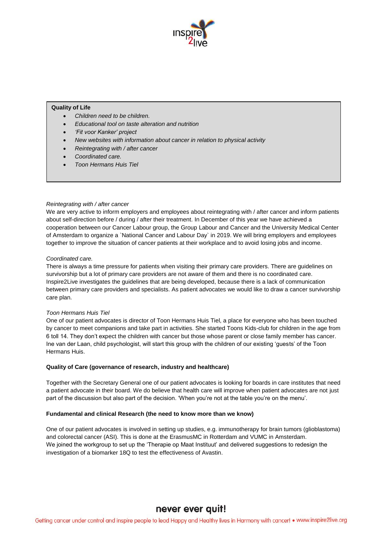

#### **Quality of Life**

- *Children need to be children.*
- *Educational tool on taste alteration and nutrition*
- *'Fit voor Kanker' project*
- *New websites with information about cancer in relation to physical activity*
- *Reintegrating with / after cancer*
- *Coordinated care.*
- *Toon Hermans Huis Tiel*

#### *Reintegrating with / after cancer*

We are very active to inform employers and employees about reintegrating with / after cancer and inform patients about self-direction before / during / after their treatment. In December of this year we have achieved a cooperation between our Cancer Labour group, the Group Labour and Cancer and the University Medical Center of Amsterdam to organize a `National Cancer and Labour Day` in 2019. We will bring employers and employees together to improve the situation of cancer patients at their workplace and to avoid losing jobs and income.

#### *Coordinated care.*

There is always a time pressure for patients when visiting their primary care providers. There are guidelines on survivorship but a lot of primary care providers are not aware of them and there is no coordinated care. Inspire2Live investigates the guidelines that are being developed, because there is a lack of communication between primary care providers and specialists. As patient advocates we would like to draw a cancer survivorship care plan.

#### *Toon Hermans Huis Tiel*

One of our patient advocates is director of Toon Hermans Huis Tiel, a place for everyone who has been touched by cancer to meet companions and take part in activities. She started Toons Kids-club for children in the age from 6 toll 14. They don't expect the children with cancer but those whose parent or close family member has cancer. Ine van der Laan, child psychologist, will start this group with the children of our existing 'guests' of the Toon Hermans Huis.

#### **Quality of Care (governance of research, industry and healthcare)**

Together with the Secretary General one of our patient advocates is looking for boards in care institutes that need a patient advocate in their board. We do believe that health care will improve when patient advocates are not just part of the discussion but also part of the decision. 'When you're not at the table you're on the menu'.

#### **Fundamental and clinical Research (the need to know more than we know)**

One of our patient advocates is involved in setting up studies, e.g. immunotherapy for brain tumors (glioblastoma) and colorectal cancer (ASI). This is done at the ErasmusMC in Rotterdam and VUMC in Amsterdam. We joined the workgroup to set up the 'Therapie op Maat Instituut' and delivered suggestions to redesign the investigation of a biomarker 18Q to test the effectiveness of Avastin.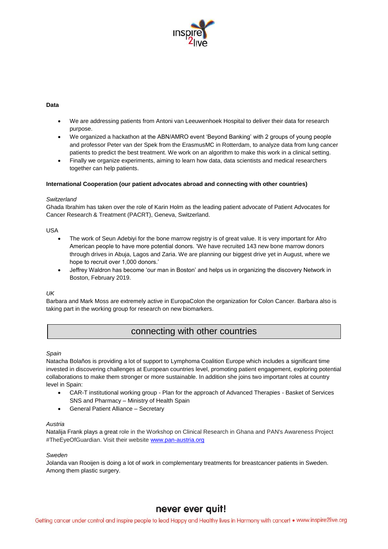

#### **Data**

- We are addressing patients from Antoni van Leeuwenhoek Hospital to deliver their data for research purpose.
- We organized a hackathon at the ABN/AMRO event 'Beyond Banking' with 2 groups of young people and professor Peter van der Spek from the ErasmusMC in Rotterdam, to analyze data from lung cancer patients to predict the best treatment. We work on an algorithm to make this work in a clinical setting.
- Finally we organize experiments, aiming to learn how data, data scientists and medical researchers together can help patients.

#### **International Cooperation (our patient advocates abroad and connecting with other countries)**

#### *Switzerland*

Ghada Ibrahim has taken over the role of Karin Holm as the leading patient advocate of Patient Advocates for Cancer Research & Treatment (PACRT), Geneva, Switzerland.

#### *USA*

- The work of Seun Adebiyi for the bone marrow registry is of great value. It is very important for Afro American people to have more potential donors. 'We have recruited 143 new bone marrow donors through drives in Abuja, Lagos and Zaria. We are planning our biggest drive yet in August, where we hope to recruit over 1,000 donors.'
- Jeffrey Waldron has become 'our man in Boston' and helps us in organizing the discovery Network in Boston, February 2019.

#### *UK*

Barbara and Mark Moss are extremely active in EuropaColon the organization for Colon Cancer. Barbara also is taking part in the working group for research on new biomarkers.

## connecting with other countries

#### *Spain*

Natacha Bolaños is providing a lot of support to Lymphoma Coalition Europe which includes a significant time invested in discovering challenges at European countries level, promoting patient engagement, exploring potential collaborations to make them stronger or more sustainable. In addition she joins two important roles at country level in Spain:

- CAR-T institutional working group Plan for the approach of Advanced Therapies Basket of Services SNS and Pharmacy – Ministry of Health Spain
- General Patient Alliance Secretary

#### *Austria*

Natalija Frank plays a great role in the Workshop on Clinical Research in Ghana and PAN's Awareness Project #TheEyeOfGuardian. Visit their website [www.pan-austria.org](http://www.pan-austria.org/)

#### *Sweden*

Jolanda van Rooijen is doing a lot of work in complementary treatments for breastcancer patients in Sweden. Among them plastic surgery.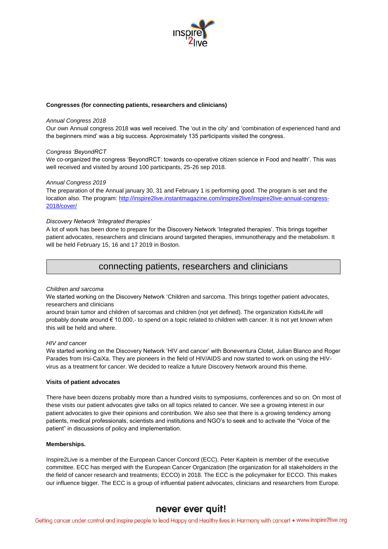

#### **Congresses (for connecting patients, researchers and clinicians)**

#### *Annual Congress 2018*

Our own Annual congress 2018 was well received. The 'out in the city' and 'combination of experienced hand and the beginners mind' was a big success. Approximately 135 participants visited the congress.

#### *Congress 'BeyondRCT*

We co-organized the congress 'BeyondRCT: towards co-operative citizen science in Food and health'. This was well received and visited by around 100 participants, 25-26 sep 2018.

#### *Annual Congress 2019*

The preparation of the Annual january 30, 31 and February 1 is performing good. The program is set and the location also. The program[: http://inspire2live.instantmagazine.com/inspire2live/inspire2live-annual-congress-](http://inspire2live.instantmagazine.com/inspire2live/inspire2live-annual-congress-2018/cover/)[2018/cover/](http://inspire2live.instantmagazine.com/inspire2live/inspire2live-annual-congress-2018/cover/)

#### *Discovery Network 'Integrated therapies'*

A lot of work has been done to prepare for the Discovery Network 'Integrated therapies'. This brings together patient advocates, researchers and clinicians around targeted therapies, immunotherapy and the metabolism. It will be held February 15, 16 and 17 2019 in Boston.

## connecting patients, researchers and clinicians

#### *Children and sarcoma*

We started working on the Discovery Network 'Children and sarcoma. This brings together patient advocates, researchers and clinicians

around brain tumor and children of sarcomas and children (not yet defined). The organization Kids4Life will probably donate around € 10.000,- to spend on a topic related to children with cancer. It is not yet known when this will be held and where.

#### *HIV and cancer*

We started working on the Discovery Network 'HIV and cancer' with Boneventura Clotet, Julian Blanco and Roger Parades from Irsi-CaiXa. They are pioneers in the field of HIV/AIDS and now started to work on using the HIVvirus as a treatment for cancer. We decided to realize a future Discovery Network around this theme.

#### **Visits of patient advocates**

There have been dozens probably more than a hundred visits to symposiums, conferences and so on. On most of these visits our patient advocates give talks on all topics related to cancer. We see a growing interest in our patient advocates to give their opinions and contribution. We also see that there is a growing tendency among patients, medical professionals, scientists and institutions and NGO's to seek and to activate the "Voice of the patient" in discussions of policy and implementation.

#### **Memberships.**

Inspire2Live is a member of the European Cancer Concord (ECC). Peter Kapitein is member of the executive committee. ECC has merged with the European Cancer Organization (the organization for all stakeholders in the the field of cancer research and treatments; ECCO) in 2018. The ECC is the policymaker for ECCO. This makes our influence bigger. The ECC is a group of influential patient advocates, clinicians and researchers from Europe.

## never ever quit!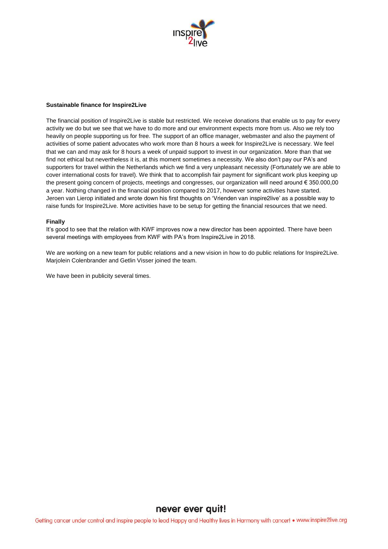

#### **Sustainable finance for Inspire2Live**

The financial position of Inspire2Live is stable but restricted. We receive donations that enable us to pay for every activity we do but we see that we have to do more and our environment expects more from us. Also we rely too heavily on people supporting us for free. The support of an office manager, webmaster and also the payment of activities of some patient advocates who work more than 8 hours a week for Inspire2Live is necessary. We feel that we can and may ask for 8 hours a week of unpaid support to invest in our organization. More than that we find not ethical but nevertheless it is, at this moment sometimes a necessity. We also don't pay our PA's and supporters for travel within the Netherlands which we find a very unpleasant necessity (Fortunately we are able to cover international costs for travel). We think that to accomplish fair payment for significant work plus keeping up the present going concern of projects, meetings and congresses, our organization will need around € 350.000,00 a year. Nothing changed in the financial position compared to 2017, however some activities have started. Jeroen van Lierop initiated and wrote down his first thoughts on 'Vrienden van inspire2live' as a possible way to raise funds for Inspire2Live. More activities have to be setup for getting the financial resources that we need.

#### **Finally**

It's good to see that the relation with KWF improves now a new director has been appointed. There have been several meetings with employees from KWF with PA's from Inspire2Live in 2018.

We are working on a new team for public relations and a new vision in how to do public relations for Inspire2Live. Marjolein Colenbrander and Getlin Visser joined the team.

We have been in publicity several times.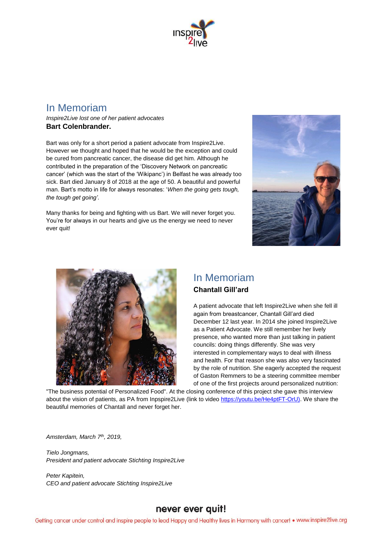

# In Memoriam

*Inspire2Live lost one of her patient advocates* **Bart Colenbrander.** 

Bart was only for a short period a patient advocate from Inspire2Live. However we thought and hoped that he would be the exception and could be cured from pancreatic cancer, the disease did get him. Although he contributed in the preparation of the 'Discovery Network on pancreatic cancer' (which was the start of the 'Wikipanc') in Belfast he was already too sick. Bart died January 8 of 2018 at the age of 50. A beautiful and powerful man. Bart's motto in life for always resonates: '*When the going gets tough, the tough get going'*.

Many thanks for being and fighting with us Bart. We will never forget you. You're for always in our hearts and give us the energy we need to never ever quit!





## In Memoriam **Chantall Gill'ard**

A patient advocate that left Inspire2Live when she fell ill again from breastcancer, Chantall Gill'ard died December 12 last year. In 2014 she joined Inspire2Live as a Patient Advocate. We still remember her lively presence, who wanted more than just talking in patient councils: doing things differently. She was very interested in complementary ways to deal with illness and health. For that reason she was also very fascinated by the role of nutrition. She eagerly accepted the request of Gaston Remmers to be a steering committee member of one of the first projects around personalized nutrition:

"The business potential of Personalized Food". At the closing conference of this project she gave this interview about the vision of patients, as PA from Inpspire2Live (link to video [https://youtu.be/He4ptFT-OrU\).](https://youtu.be/He4ptFT-OrU)) We share the beautiful memories of Chantall and never forget her.

*Amsterdam, March 7th, 2019,*

*Tielo Jongmans, President and patient advocate Stichting Inspire2Live*

*Peter Kapitein, CEO and patient advocate Stichting Inspire2Live*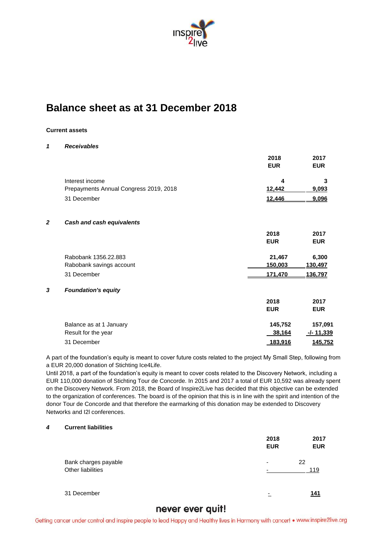

# **Balance sheet as at 31 December 2018**

#### **Current assets**

#### *1 Receivables*

|   |                                        | 2018          | 2017              |
|---|----------------------------------------|---------------|-------------------|
|   |                                        | <b>EUR</b>    | <b>EUR</b>        |
|   | Interest income                        | 4             | 3                 |
|   | Prepayments Annual Congress 2019, 2018 | 12,442        | 9,093             |
|   | 31 December                            | 12,446        | 9,096             |
| 2 | <b>Cash and cash equivalents</b>       |               |                   |
|   |                                        | 2018          | 2017              |
|   |                                        | <b>EUR</b>    | <b>EUR</b>        |
|   | Rabobank 1356.22.883                   | 21,467        | 6,300             |
|   | Rabobank savings account               | 150,003       | 130,497           |
|   | 31 December                            | 171,470       | 136,797           |
| 3 | <b>Foundation's equity</b>             |               |                   |
|   |                                        | 2018          | 2017              |
|   |                                        | <b>EUR</b>    | <b>EUR</b>        |
|   | Balance as at 1 January                | 145,752       | 157,091           |
|   | Result for the year                    | <u>38,164</u> | <u>-/- 11,339</u> |
|   | 31 December                            | 183,916       | 145,752           |

A part of the foundation's equity is meant to cover future costs related to the project My Small Step, following from a EUR 20,000 donation of Stichting Ice4Life.

Until 2018, a part of the foundation's equity is meant to cover costs related to the Discovery Network, including a EUR 110,000 donation of Stichting Tour de Concorde. In 2015 and 2017 a total of EUR 10,592 was already spent on the Discovery Network. From 2018, the Board of Inspire2Live has decided that this objective can be extended to the organization of conferences. The board is of the opinion that this is in line with the spirit and intention of the donor Tour de Concorde and that therefore the earmarking of this donation may be extended to Discovery Networks and I2l conferences.

#### *4* **Current liabilities**

|                                           | 2018<br><b>EUR</b> | 2017<br><b>EUR</b> |
|-------------------------------------------|--------------------|--------------------|
| Bank charges payable<br>Other liabilities | ۰                  | 22<br>119          |
| 31 December                               |                    | 141                |

## never ever quit!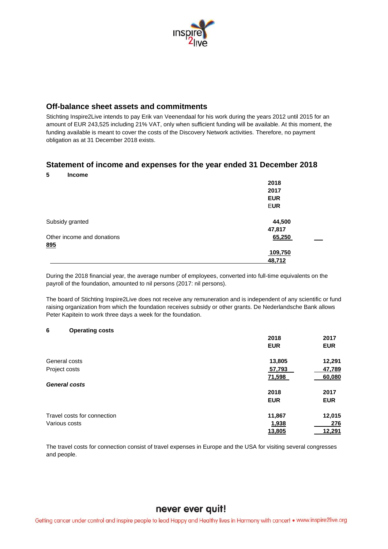

### **Off-balance sheet assets and commitments**

Stichting Inspire2Live intends to pay Erik van Veenendaal for his work during the years 2012 until 2015 for an amount of EUR 243,525 including 21% VAT, only when sufficient funding will be available. At this moment, the funding available is meant to cover the costs of the Discovery Network activities. Therefore, no payment obligation as at 31 December 2018 exists.

## **Statement of income and expenses for the year ended 31 December 2018**

#### **5 Income**

|                            | 2018       |
|----------------------------|------------|
|                            | 2017       |
|                            | <b>EUR</b> |
|                            | <b>EUR</b> |
| Subsidy granted            | 44,500     |
|                            | 47,817     |
| Other income and donations | 65,250     |
| 895                        | 109,750    |
|                            | 48,712     |

During the 2018 financial year, the average number of employees, converted into full-time equivalents on the payroll of the foundation, amounted to nil persons (2017: nil persons).

The board of Stichting Inspire2Live does not receive any remuneration and is independent of any scientific or fund raising organization from which the foundation receives subsidy or other grants. De Nederlandsche Bank allows Peter Kapitein to work three days a week for the foundation.

#### **6 Operating costs**

|                             | 2018       | 2017       |
|-----------------------------|------------|------------|
|                             | <b>EUR</b> | <b>EUR</b> |
| General costs               | 13,805     | 12,291     |
| Project costs               | 57,793     | 47,789     |
|                             | 71,598     | 60,080     |
| <b>General costs</b>        |            |            |
|                             | 2018       | 2017       |
|                             | <b>EUR</b> | <b>EUR</b> |
| Travel costs for connection | 11,867     | 12,015     |
| Various costs               | 1,938      | 276        |
|                             | 13,805     | 12,291     |

The travel costs for connection consist of travel expenses in Europe and the USA for visiting several congresses and people.